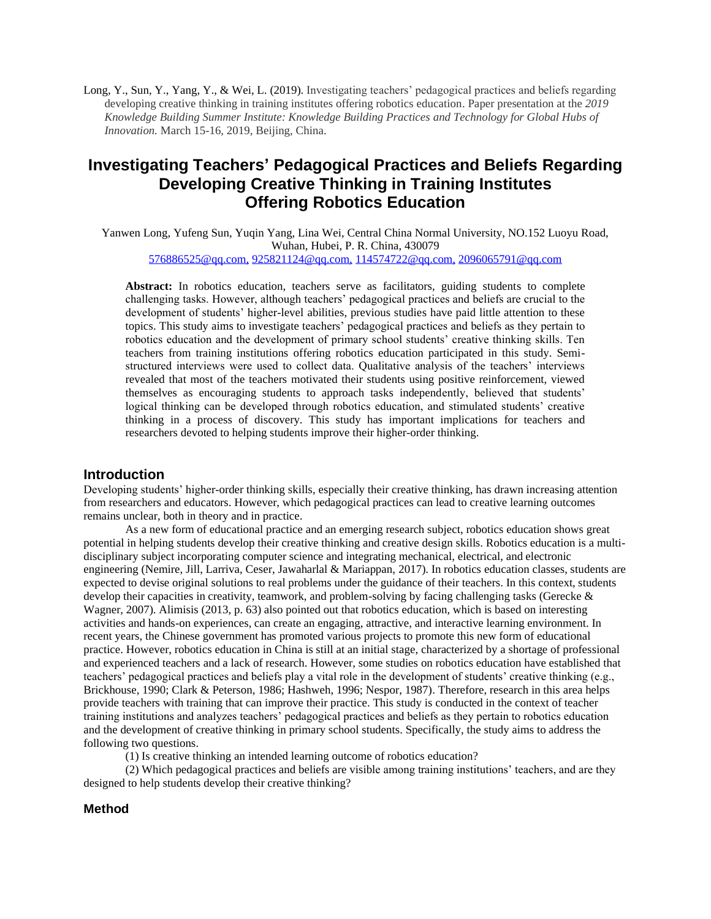Long, Y., Sun, Y., Yang, Y., & Wei, L. (2019). Investigating teachers' pedagogical practices and beliefs regarding developing creative thinking in training institutes offering robotics education. Paper presentation at the *2019 Knowledge Building Summer Institute: Knowledge Building Practices and Technology for Global Hubs of Innovation.* March 15-16, 2019, Beijing, China.

# **Investigating Teachers' Pedagogical Practices and Beliefs Regarding Developing Creative Thinking in Training Institutes Offering Robotics Education**

Yanwen Long, Yufeng Sun, Yuqin Yang, Lina Wei, Central China Normal University, NO.152 Luoyu Road, Wuhan, Hubei, P. R. China, 430079 [576886525@qq.com,](mailto:576886525@qq.com,) [925821124@qq.com,](mailto:925821124@qq.com,) [114574722@qq.com,](mailto:114574722@qq.com,) [2096065791@qq.com](mailto:2096065791@qq.com)

**Abstract:** In robotics education, teachers serve as facilitators, guiding students to complete challenging tasks. However, although teachers' pedagogical practices and beliefs are crucial to the development of students' higher-level abilities, previous studies have paid little attention to these topics. This study aims to investigate teachers' pedagogical practices and beliefs as they pertain to robotics education and the development of primary school students' creative thinking skills. Ten teachers from training institutions offering robotics education participated in this study. Semistructured interviews were used to collect data. Qualitative analysis of the teachers' interviews revealed that most of the teachers motivated their students using positive reinforcement, viewed themselves as encouraging students to approach tasks independently, believed that students' logical thinking can be developed through robotics education, and stimulated students' creative thinking in a process of discovery. This study has important implications for teachers and researchers devoted to helping students improve their higher-order thinking.

# **Introduction**

Developing students' higher-order thinking skills, especially their creative thinking, has drawn increasing attention from researchers and educators. However, which pedagogical practices can lead to creative learning outcomes remains unclear, both in theory and in practice.

As a new form of educational practice and an emerging research subject, robotics education shows great potential in helping students develop their creative thinking and creative design skills. Robotics education is a multidisciplinary subject incorporating computer science and integrating mechanical, electrical, and electronic engineering (Nemire, Jill, Larriva, Ceser, Jawaharlal & Mariappan, 2017). In robotics education classes, students are expected to devise original solutions to real problems under the guidance of their teachers. In this context, students develop their capacities in creativity, teamwork, and problem-solving by facing challenging tasks (Gerecke & Wagner, 2007). Alimisis (2013, p. 63) also pointed out that robotics education, which is based on interesting activities and hands-on experiences, can create an engaging, attractive, and interactive learning environment. In recent years, the Chinese government has promoted various projects to promote this new form of educational practice. However, robotics education in China is still at an initial stage, characterized by a shortage of professional and experienced teachers and a lack of research. However, some studies on robotics education have established that teachers' pedagogical practices and beliefs play a vital role in the development of students' creative thinking (e.g., Brickhouse, 1990; Clark & Peterson, 1986; Hashweh, 1996; Nespor, 1987). Therefore, research in this area helps provide teachers with training that can improve their practice. This study is conducted in the context of teacher training institutions and analyzes teachers' pedagogical practices and beliefs as they pertain to robotics education and the development of creative thinking in primary school students. Specifically, the study aims to address the following two questions.

(1) Is creative thinking an intended learning outcome of robotics education?

(2) Which pedagogical practices and beliefs are visible among training institutions' teachers, and are they designed to help students develop their creative thinking?

### **Method**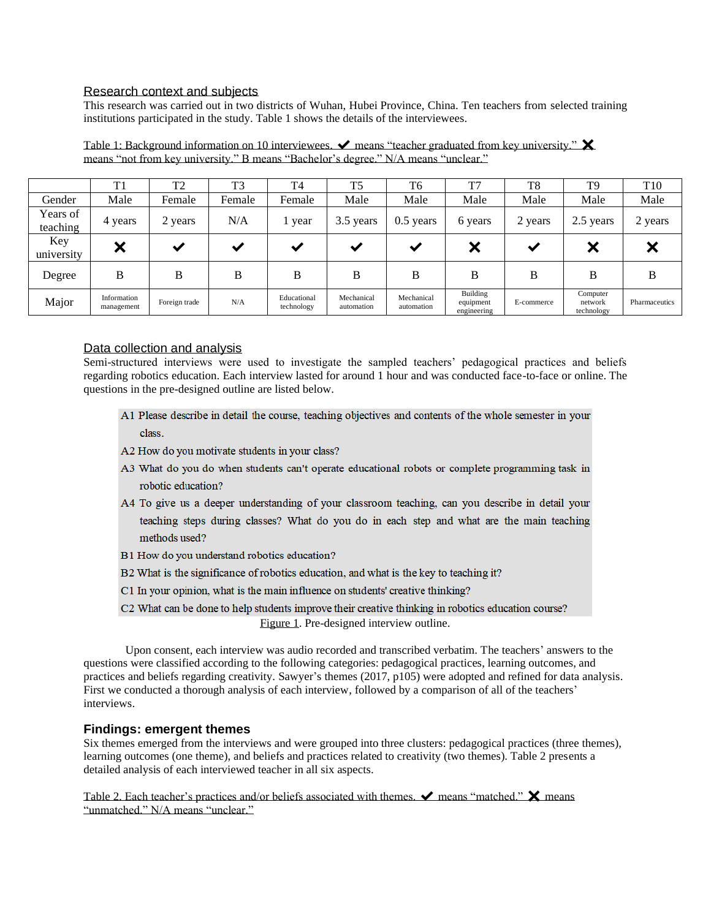# Research context and subjects

This research was carried out in two districts of Wuhan, Hubei Province, China. Ten teachers from selected training institutions participated in the study. Table 1 shows the details of the interviewees.

|                      | T1                        | T <sub>2</sub>        | T3                    | T <sub>4</sub>            | T <sub>5</sub>           | T <sub>6</sub>           | T7                                          | T <sub>8</sub> | T <sub>9</sub>                    | T <sub>10</sub> |
|----------------------|---------------------------|-----------------------|-----------------------|---------------------------|--------------------------|--------------------------|---------------------------------------------|----------------|-----------------------------------|-----------------|
| Gender               | Male                      | Female                | Female                | Female                    | Male                     | Male                     | Male                                        | Male           | Male                              | Male            |
| Years of<br>teaching | 4 years                   | 2 years               | N/A                   | year                      | 3.5 years                | $0.5$ years              | 6 years                                     | 2 years        | 2.5 years                         | 2 years         |
| Key<br>university    | X                         | $\blacktriangleright$ | $\blacktriangleright$ | $\blacktriangledown$      | $\checkmark$             | $\checkmark$             | ∾                                           | $\checkmark$   | ×                                 | ×               |
| Degree               | B                         | B                     | B                     | B                         | B                        | B                        | B                                           | B              | B                                 | B               |
| Major                | Information<br>management | Foreign trade         | N/A                   | Educational<br>technology | Mechanical<br>automation | Mechanical<br>automation | <b>Building</b><br>equipment<br>engineering | E-commerce     | Computer<br>network<br>technology | Pharmaceutics   |

Table 1: Background information on 10 interviewees.  $\blacktriangledown$  means "teacher graduated from key university." means "not from key university." B means "Bachelor's degree." N/A means "unclear."

## Data collection and analysis

Semi-structured interviews were used to investigate the sampled teachers' pedagogical practices and beliefs regarding robotics education. Each interview lasted for around 1 hour and was conducted face-to-face or online. The questions in the pre-designed outline are listed below.

- A1 Please describe in detail the course, teaching objectives and contents of the whole semester in your class
- A2 How do you motivate students in your class?
- A3 What do you do when students can't operate educational robots or complete programming task in robotic education?
- A4 To give us a deeper understanding of your classroom teaching, can you describe in detail your teaching steps during classes? What do you do in each step and what are the main teaching methods used?
- B1 How do you understand robotics education?
- B2 What is the significance of robotics education, and what is the key to teaching it?
- C1 In your opinion, what is the main influence on students' creative thinking?
- C2 What can be done to help students improve their creative thinking in robotics education course?

Figure 1. Pre-designed interview outline.

Upon consent, each interview was audio recorded and transcribed verbatim. The teachers' answers to the questions were classified according to the following categories: pedagogical practices, learning outcomes, and practices and beliefs regarding creativity. Sawyer's themes (2017, p105) were adopted and refined for data analysis. First we conducted a thorough analysis of each interview, followed by a comparison of all of the teachers' interviews.

#### **Findings: emergent themes**

Six themes emerged from the interviews and were grouped into three clusters: pedagogical practices (three themes), learning outcomes (one theme), and beliefs and practices related to creativity (two themes). Table 2 presents a detailed analysis of each interviewed teacher in all six aspects.

Table 2. Each teacher's practices and/or beliefs associated with themes.  $\checkmark$  means "matched."  $\checkmark$  means "unmatched." N/A means "unclear."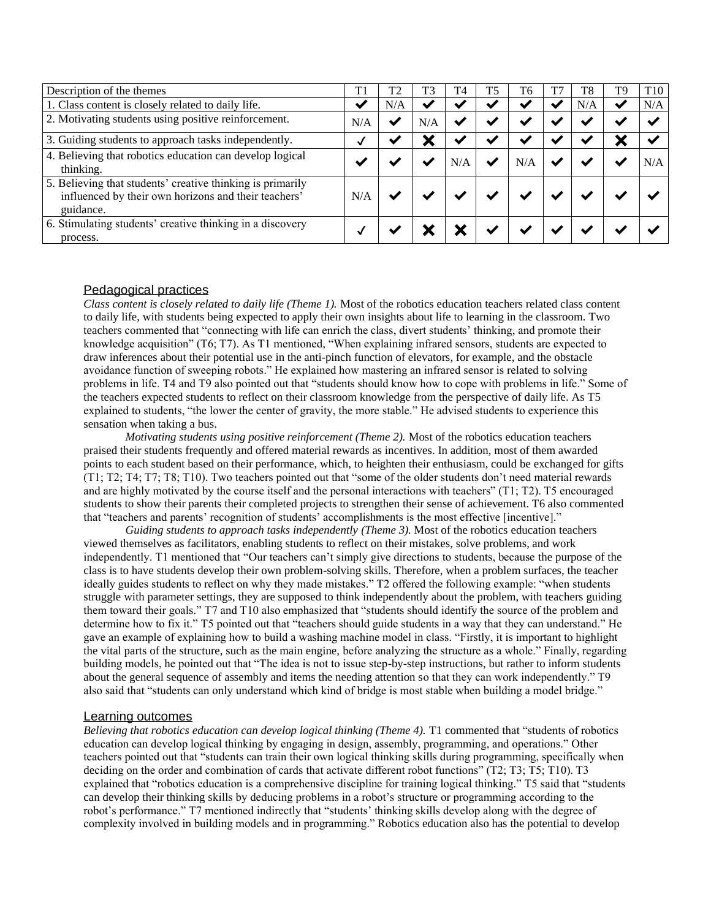| Description of the themes                                                                                                       |  | T2           | T3  | T4           | T5           | Т6  | T8  | Т9 | T <sub>10</sub> |
|---------------------------------------------------------------------------------------------------------------------------------|--|--------------|-----|--------------|--------------|-----|-----|----|-----------------|
| 1. Class content is closely related to daily life.                                                                              |  | N/A          | ✔   |              |              |     | N/A |    | N/A             |
| 2. Motivating students using positive reinforcement.                                                                            |  | $\checkmark$ | N/A | $\checkmark$ | ✔            | ✔   |     |    |                 |
| 3. Guiding students to approach tasks independently.                                                                            |  |              |     |              |              |     |     |    |                 |
| 4. Believing that robotics education can develop logical<br>thinking.                                                           |  |              |     | N/A          | $\checkmark$ | N/A |     |    | N/A             |
| 5. Believing that students' creative thinking is primarily<br>influenced by their own horizons and their teachers'<br>guidance. |  |              |     |              |              |     |     |    |                 |
| 6. Stimulating students' creative thinking in a discovery<br>process.                                                           |  |              |     |              |              |     |     |    |                 |

## Pedagogical practices

*Class content is closely related to daily life (Theme 1).* Most of the robotics education teachers related class content to daily life, with students being expected to apply their own insights about life to learning in the classroom. Two teachers commented that "connecting with life can enrich the class, divert students' thinking, and promote their knowledge acquisition" (T6; T7). As T1 mentioned, "When explaining infrared sensors, students are expected to draw inferences about their potential use in the anti-pinch function of elevators, for example, and the obstacle avoidance function of sweeping robots." He explained how mastering an infrared sensor is related to solving problems in life. T4 and T9 also pointed out that "students should know how to cope with problems in life." Some of the teachers expected students to reflect on their classroom knowledge from the perspective of daily life. As T5 explained to students, "the lower the center of gravity, the more stable." He advised students to experience this sensation when taking a bus.

*Motivating students using positive reinforcement (Theme 2).* Most of the robotics education teachers praised their students frequently and offered material rewards as incentives. In addition, most of them awarded points to each student based on their performance, which, to heighten their enthusiasm, could be exchanged for gifts (T1; T2; T4; T7; T8; T10). Two teachers pointed out that "some of the older students don't need material rewards and are highly motivated by the course itself and the personal interactions with teachers" (T1; T2). T5 encouraged students to show their parents their completed projects to strengthen their sense of achievement. T6 also commented that "teachers and parents' recognition of students' accomplishments is the most effective [incentive]."

*Guiding students to approach tasks independently (Theme 3).* Most of the robotics education teachers viewed themselves as facilitators, enabling students to reflect on their mistakes, solve problems, and work independently. T1 mentioned that "Our teachers can't simply give directions to students, because the purpose of the class is to have students develop their own problem-solving skills. Therefore, when a problem surfaces, the teacher ideally guides students to reflect on why they made mistakes." T2 offered the following example: "when students struggle with parameter settings, they are supposed to think independently about the problem, with teachers guiding them toward their goals." T7 and T10 also emphasized that "students should identify the source of the problem and determine how to fix it." T5 pointed out that "teachers should guide students in a way that they can understand." He gave an example of explaining how to build a washing machine model in class. "Firstly, it is important to highlight the vital parts of the structure, such as the main engine, before analyzing the structure as a whole." Finally, regarding building models, he pointed out that "The idea is not to issue step-by-step instructions, but rather to inform students about the general sequence of assembly and items the needing attention so that they can work independently." T9 also said that "students can only understand which kind of bridge is most stable when building a model bridge."

#### Learning outcomes

*Believing that robotics education can develop logical thinking (Theme 4).* T1 commented that "students of robotics education can develop logical thinking by engaging in design, assembly, programming, and operations." Other teachers pointed out that "students can train their own logical thinking skills during programming, specifically when deciding on the order and combination of cards that activate different robot functions" (T2; T3; T5; T10). T3 explained that "robotics education is a comprehensive discipline for training logical thinking." T5 said that "students can develop their thinking skills by deducing problems in a robot's structure or programming according to the robot's performance." T7 mentioned indirectly that "students' thinking skills develop along with the degree of complexity involved in building models and in programming." Robotics education also has the potential to develop